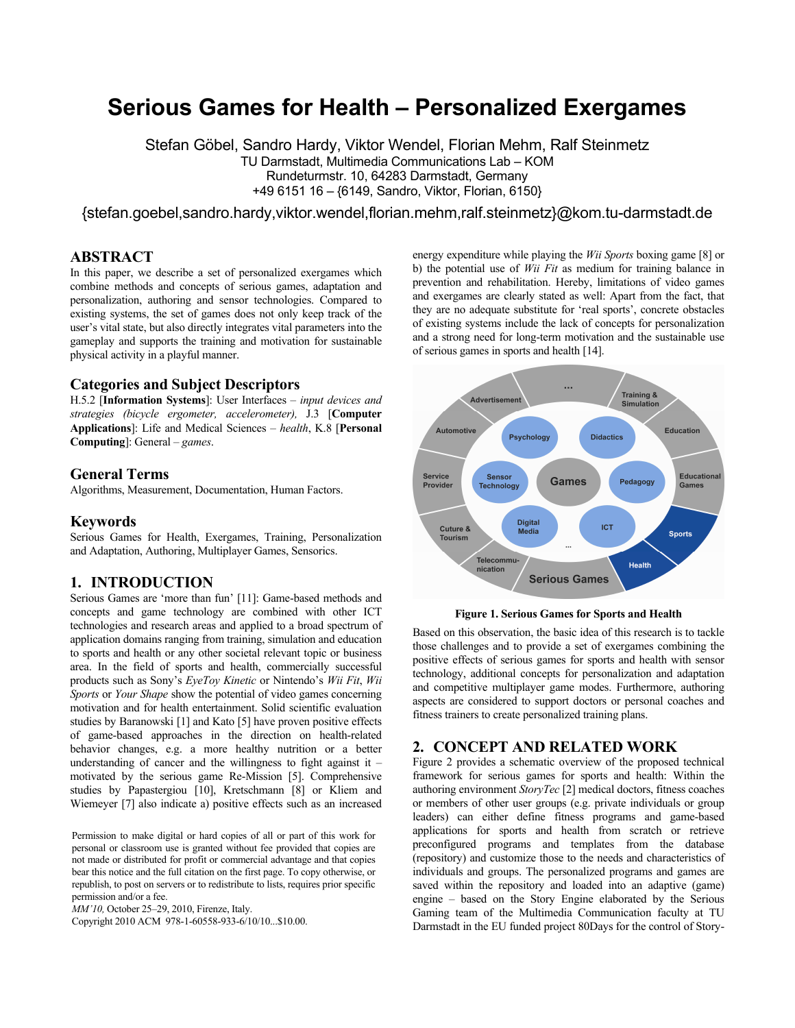# **Serious Games for Health – Personalized Exergames**

Stefan Göbel, Sandro Hardy, Viktor Wendel, Florian Mehm, Ralf Steinmetz TU Darmstadt, Multimedia Communications Lab – KOM Rundeturmstr. 10, 64283 Darmstadt, Germany +49 6151 16 – {6149, Sandro, Viktor, Florian, 6150}

{stefan.goebel,sandro.hardy,viktor.wendel,florian.mehm,ralf.steinmetz}@kom.tu-darmstadt.de

## **ABSTRACT**

In this paper, we describe a set of personalized exergames which combine methods and concepts of serious games, adaptation and personalization, authoring and sensor technologies. Compared to existing systems, the set of games does not only keep track of the user's vital state, but also directly integrates vital parameters into the gameplay and supports the training and motivation for sustainable physical activity in a playful manner.

## **Categories and Subject Descriptors**

H.5.2 [**Information Systems**]: User Interfaces – *input devices and strategies (bicycle ergometer, accelerometer),* J.3 [**Computer Applications**]: Life and Medical Sciences – *health*, K.8 [**Personal Computing**]: General – *games*.

## **General Terms**

Algorithms, Measurement, Documentation, Human Factors.

#### **Keywords**

Serious Games for Health, Exergames, Training, Personalization and Adaptation, Authoring, Multiplayer Games, Sensorics.

#### **1. INTRODUCTION**

Serious Games are 'more than fun' [11]: Game-based methods and concepts and game technology are combined with other ICT technologies and research areas and applied to a broad spectrum of application domains ranging from training, simulation and education to sports and health or any other societal relevant topic or business area. In the field of sports and health, commercially successful products such as Sony's *EyeToy Kinetic* or Nintendo's *Wii Fit*, *Wii Sports* or *Your Shape* show the potential of video games concerning motivation and for health entertainment. Solid scientific evaluation studies by Baranowski [1] and Kato [5] have proven positive effects of game-based approaches in the direction on health-related behavior changes, e.g. a more healthy nutrition or a better understanding of cancer and the willingness to fight against it  $$ motivated by the serious game Re-Mission [5]. Comprehensive studies by Papastergiou [10], Kretschmann [8] or Kliem and Wiemeyer [7] also indicate a) positive effects such as an increased

Permission to make digital or hard copies of all or part of this work for personal or classroom use is granted without fee provided that copies are not made or distributed for profit or commercial advantage and that copies bear this notice and the full citation on the first page. To copy otherwise, or republish, to post on servers or to redistribute to lists, requires prior specific permission and/or a fee.

*MM'10,* October 25–29, 2010, Firenze, Italy.

Copyright 2010 ACM 978-1-60558-933-6/10/10...\$10.00.

energy expenditure while playing the *Wii Sports* boxing game [8] or b) the potential use of *Wii Fit* as medium for training balance in prevention and rehabilitation. Hereby, limitations of video games and exergames are clearly stated as well: Apart from the fact, that they are no adequate substitute for 'real sports', concrete obstacles of existing systems include the lack of concepts for personalization and a strong need for long-term motivation and the sustainable use of serious games in sports and health [14].



**Figure 1. Serious Games for Sports and Health** 

Based on this observation, the basic idea of this research is to tackle those challenges and to provide a set of exergames combining the positive effects of serious games for sports and health with sensor technology, additional concepts for personalization and adaptation and competitive multiplayer game modes. Furthermore, authoring aspects are considered to support doctors or personal coaches and fitness trainers to create personalized training plans.

### **2. CONCEPT AND RELATED WORK**

Figure 2 provides a schematic overview of the proposed technical framework for serious games for sports and health: Within the authoring environment *StoryTec* [2] medical doctors, fitness coaches or members of other user groups (e.g. private individuals or group leaders) can either define fitness programs and game-based applications for sports and health from scratch or retrieve preconfigured programs and templates from the database (repository) and customize those to the needs and characteristics of individuals and groups. The personalized programs and games are saved within the repository and loaded into an adaptive (game) engine – based on the Story Engine elaborated by the Serious Gaming team of the Multimedia Communication faculty at TU Darmstadt in the EU funded project 80Days for the control of Story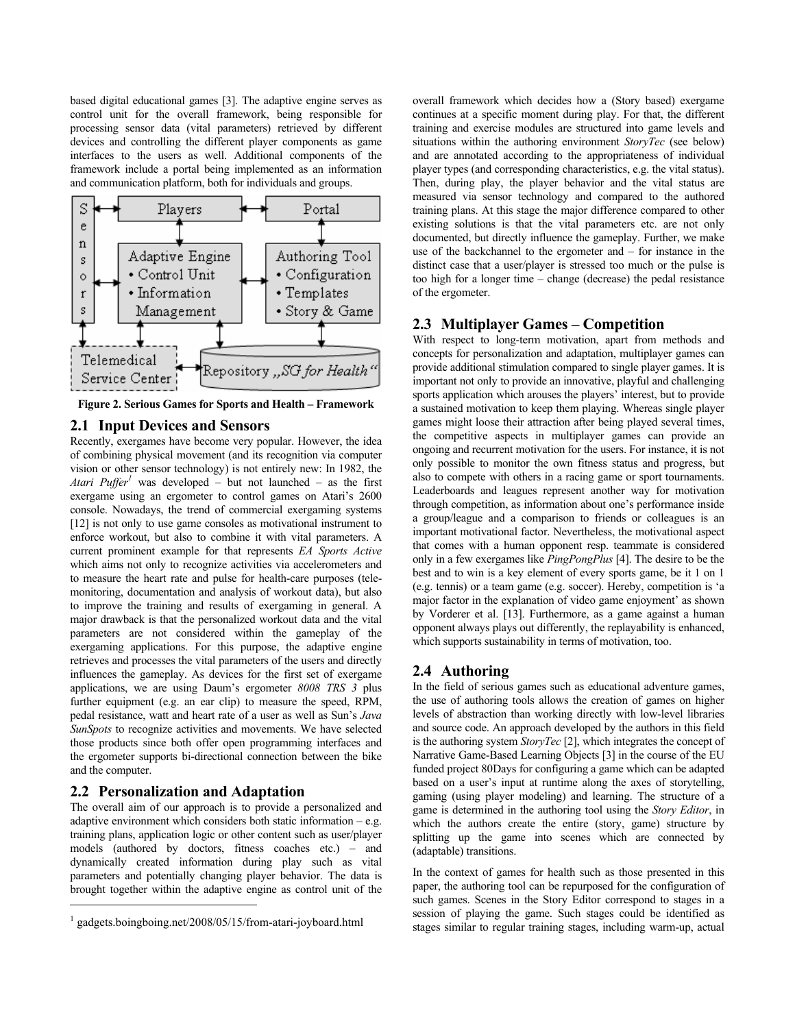based digital educational games [3]. The adaptive engine serves as control unit for the overall framework, being responsible for processing sensor data (vital parameters) retrieved by different devices and controlling the different player components as game interfaces to the users as well. Additional components of the framework include a portal being implemented as an information and communication platform, both for individuals and groups.



**Figure 2. Serious Games for Sports and Health – Framework** 

#### **2.1 Input Devices and Sensors**

Recently, exergames have become very popular. However, the idea of combining physical movement (and its recognition via computer vision or other sensor technology) is not entirely new: In 1982, the *Atari Puffer1* was developed – but not launched – as the first exergame using an ergometer to control games on Atari's 2600 console. Nowadays, the trend of commercial exergaming systems [12] is not only to use game consoles as motivational instrument to enforce workout, but also to combine it with vital parameters. A current prominent example for that represents *EA Sports Active* which aims not only to recognize activities via accelerometers and to measure the heart rate and pulse for health-care purposes (telemonitoring, documentation and analysis of workout data), but also to improve the training and results of exergaming in general. A major drawback is that the personalized workout data and the vital parameters are not considered within the gameplay of the exergaming applications. For this purpose, the adaptive engine retrieves and processes the vital parameters of the users and directly influences the gameplay. As devices for the first set of exergame applications, we are using Daum's ergometer *8008 TRS 3* plus further equipment (e.g. an ear clip) to measure the speed, RPM, pedal resistance, watt and heart rate of a user as well as Sun's *Java SunSpots* to recognize activities and movements. We have selected those products since both offer open programming interfaces and the ergometer supports bi-directional connection between the bike and the computer.

## **2.2 Personalization and Adaptation**

 $\overline{a}$ 

The overall aim of our approach is to provide a personalized and adaptive environment which considers both static information – e.g. training plans, application logic or other content such as user/player models (authored by doctors, fitness coaches etc.) – and dynamically created information during play such as vital parameters and potentially changing player behavior. The data is brought together within the adaptive engine as control unit of the

overall framework which decides how a (Story based) exergame continues at a specific moment during play. For that, the different training and exercise modules are structured into game levels and situations within the authoring environment *StoryTec* (see below) and are annotated according to the appropriateness of individual player types (and corresponding characteristics, e.g. the vital status). Then, during play, the player behavior and the vital status are measured via sensor technology and compared to the authored training plans. At this stage the major difference compared to other existing solutions is that the vital parameters etc. are not only documented, but directly influence the gameplay. Further, we make use of the backchannel to the ergometer and – for instance in the distinct case that a user/player is stressed too much or the pulse is too high for a longer time – change (decrease) the pedal resistance of the ergometer.

#### **2.3 Multiplayer Games – Competition**

With respect to long-term motivation, apart from methods and concepts for personalization and adaptation, multiplayer games can provide additional stimulation compared to single player games. It is important not only to provide an innovative, playful and challenging sports application which arouses the players' interest, but to provide a sustained motivation to keep them playing. Whereas single player games might loose their attraction after being played several times, the competitive aspects in multiplayer games can provide an ongoing and recurrent motivation for the users. For instance, it is not only possible to monitor the own fitness status and progress, but also to compete with others in a racing game or sport tournaments. Leaderboards and leagues represent another way for motivation through competition, as information about one's performance inside a group/league and a comparison to friends or colleagues is an important motivational factor. Nevertheless, the motivational aspect that comes with a human opponent resp. teammate is considered only in a few exergames like *PingPongPlus* [4]. The desire to be the best and to win is a key element of every sports game, be it 1 on 1 (e.g. tennis) or a team game (e.g. soccer). Hereby, competition is 'a major factor in the explanation of video game enjoyment' as shown by Vorderer et al. [13]. Furthermore, as a game against a human opponent always plays out differently, the replayability is enhanced, which supports sustainability in terms of motivation, too.

## **2.4 Authoring**

In the field of serious games such as educational adventure games, the use of authoring tools allows the creation of games on higher levels of abstraction than working directly with low-level libraries and source code. An approach developed by the authors in this field is the authoring system *StoryTec* [2], which integrates the concept of Narrative Game-Based Learning Objects [3] in the course of the EU funded project 80Days for configuring a game which can be adapted based on a user's input at runtime along the axes of storytelling, gaming (using player modeling) and learning. The structure of a game is determined in the authoring tool using the *Story Editor*, in which the authors create the entire (story, game) structure by splitting up the game into scenes which are connected by (adaptable) transitions.

In the context of games for health such as those presented in this paper, the authoring tool can be repurposed for the configuration of such games. Scenes in the Story Editor correspond to stages in a session of playing the game. Such stages could be identified as stages similar to regular training stages, including warm-up, actual

<sup>1</sup> gadgets.boingboing.net/2008/05/15/from-atari-joyboard.html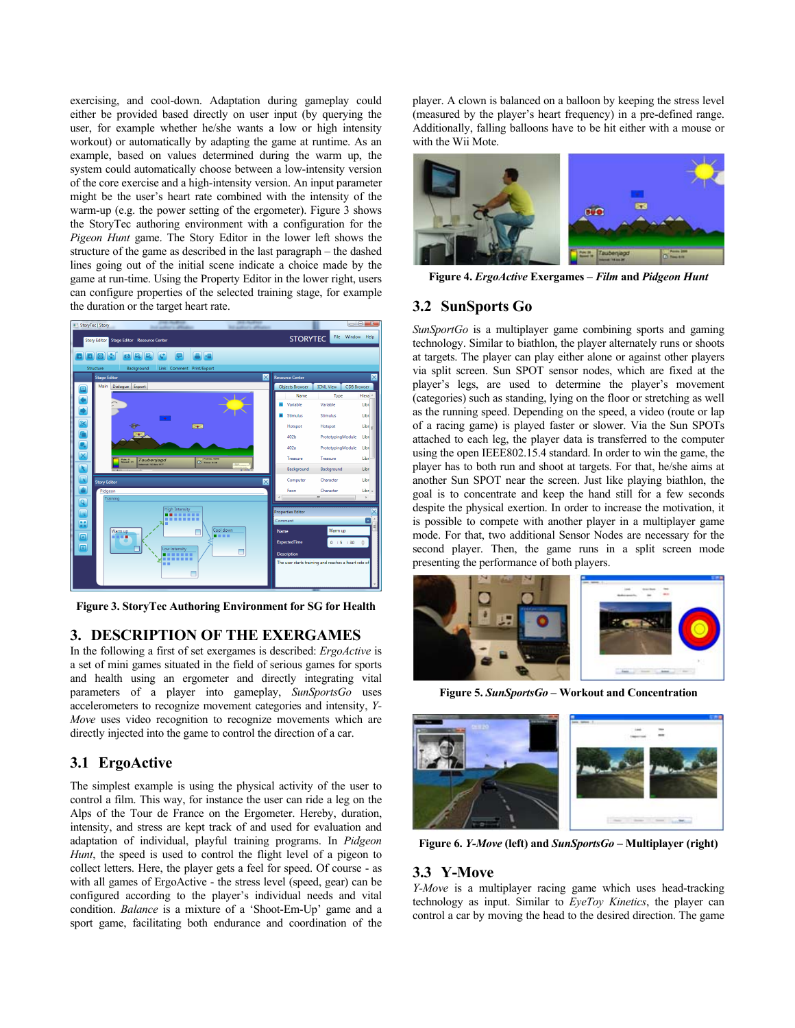exercising, and cool-down. Adaptation during gameplay could either be provided based directly on user input (by querying the user, for example whether he/she wants a low or high intensity workout) or automatically by adapting the game at runtime. As an example, based on values determined during the warm up, the system could automatically choose between a low-intensity version of the core exercise and a high-intensity version. An input parameter might be the user's heart rate combined with the intensity of the warm-up (e.g. the power setting of the ergometer). Figure 3 shows the StoryTec authoring environment with a configuration for the *Pigeon Hunt* game. The Story Editor in the lower left shows the structure of the game as described in the last paragraph – the dashed lines going out of the initial scene indicate a choice made by the game at run-time. Using the Property Editor in the lower right, users can configure properties of the selected training stage, for example the duration or the target heart rate.



**Figure 3. StoryTec Authoring Environment for SG for Health** 

## **3. DESCRIPTION OF THE EXERGAMES**

In the following a first of set exergames is described: *ErgoActive* is a set of mini games situated in the field of serious games for sports and health using an ergometer and directly integrating vital parameters of a player into gameplay, *SunSportsGo* uses accelerometers to recognize movement categories and intensity, *Y-Move* uses video recognition to recognize movements which are directly injected into the game to control the direction of a car.

## **3.1 ErgoActive**

The simplest example is using the physical activity of the user to control a film. This way, for instance the user can ride a leg on the Alps of the Tour de France on the Ergometer. Hereby, duration, intensity, and stress are kept track of and used for evaluation and adaptation of individual, playful training programs. In *Pidgeon Hunt*, the speed is used to control the flight level of a pigeon to collect letters. Here, the player gets a feel for speed. Of course - as with all games of ErgoActive - the stress level (speed, gear) can be configured according to the player's individual needs and vital condition. *Balance* is a mixture of a 'Shoot-Em-Up' game and a sport game, facilitating both endurance and coordination of the

player. A clown is balanced on a balloon by keeping the stress level (measured by the player's heart frequency) in a pre-defined range. Additionally, falling balloons have to be hit either with a mouse or with the Wii Mote.



**Figure 4.** *ErgoActive* **Exergames –** *Film* **and** *Pidgeon Hunt*

## **3.2 SunSports Go**

*SunSportGo* is a multiplayer game combining sports and gaming technology. Similar to biathlon, the player alternately runs or shoots at targets. The player can play either alone or against other players via split screen. Sun SPOT sensor nodes, which are fixed at the player's legs, are used to determine the player's movement (categories) such as standing, lying on the floor or stretching as well as the running speed. Depending on the speed, a video (route or lap of a racing game) is played faster or slower. Via the Sun SPOTs attached to each leg, the player data is transferred to the computer using the open IEEE802.15.4 standard. In order to win the game, the player has to both run and shoot at targets. For that, he/she aims at another Sun SPOT near the screen. Just like playing biathlon, the goal is to concentrate and keep the hand still for a few seconds despite the physical exertion. In order to increase the motivation, it is possible to compete with another player in a multiplayer game mode. For that, two additional Sensor Nodes are necessary for the second player. Then, the game runs in a split screen mode presenting the performance of both players.



**Figure 5.** *SunSportsGo* **– Workout and Concentration** 



**Figure 6.** *Y-Move* **(left) and** *SunSportsGo* **– Multiplayer (right)** 

## **3.3 Y-Move**

*Y-Move* is a multiplayer racing game which uses head-tracking technology as input. Similar to *EyeToy Kinetics*, the player can control a car by moving the head to the desired direction. The game